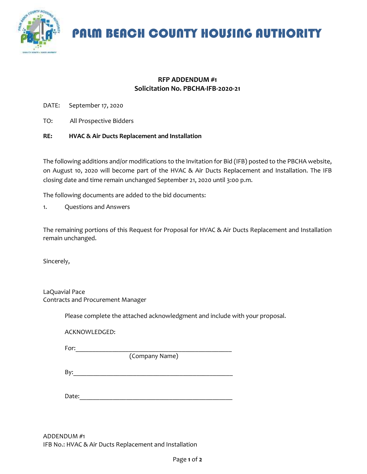

PALM BEACH COUNTY HOUSING AUTHORITY

## **RFP ADDENDUM #1 Solicitation No. PBCHA-IFB-2020-21**

- DATE: September 17, 2020
- TO: All Prospective Bidders

## **RE: HVAC & Air Ducts Replacement and Installation**

The following additions and/or modifications to the Invitation for Bid (IFB) posted to the PBCHA website, on August 10, 2020 will become part of the HVAC & Air Ducts Replacement and Installation. The IFB closing date and time remain unchanged September 21, 2020 until 3:00 p.m.

The following documents are added to the bid documents:

1. Questions and Answers

The remaining portions of this Request for Proposal for HVAC & Air Ducts Replacement and Installation remain unchanged.

Sincerely,

| LaQuavial Pace                    |
|-----------------------------------|
| Contracts and Procurement Manager |

Please complete the attached acknowledgment and include with your proposal.

ACKNOWLEDGED:

For:  $\Box$ 

(Company Name)

 $\mathsf{By:}$ 

Date:

ADDENDUM #1 IFB No.: HVAC & Air Ducts Replacement and Installation